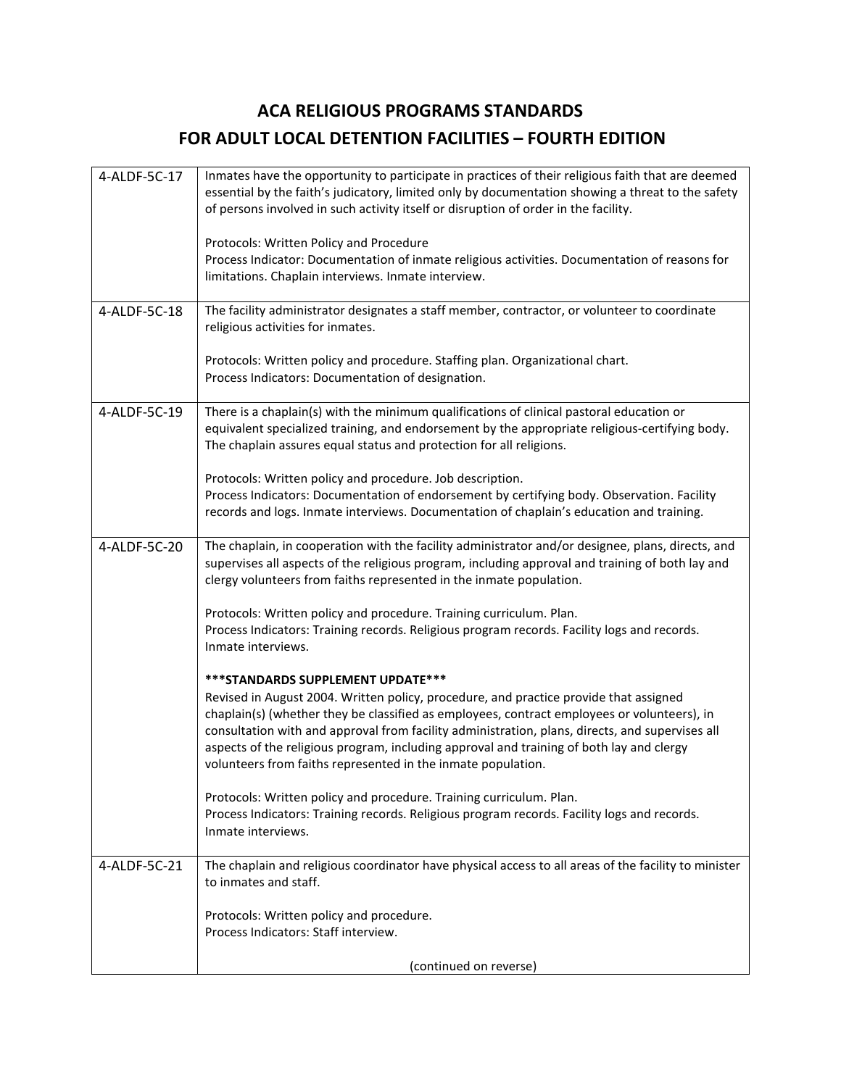## **ACA RELIGIOUS PROGRAMS STANDARDS FOR ADULT LOCAL DETENTION FACILITIES – FOURTH EDITION**

| 4-ALDF-5C-17 | Inmates have the opportunity to participate in practices of their religious faith that are deemed<br>essential by the faith's judicatory, limited only by documentation showing a threat to the safety<br>of persons involved in such activity itself or disruption of order in the facility.<br>Protocols: Written Policy and Procedure<br>Process Indicator: Documentation of inmate religious activities. Documentation of reasons for                                                 |
|--------------|-------------------------------------------------------------------------------------------------------------------------------------------------------------------------------------------------------------------------------------------------------------------------------------------------------------------------------------------------------------------------------------------------------------------------------------------------------------------------------------------|
|              | limitations. Chaplain interviews. Inmate interview.                                                                                                                                                                                                                                                                                                                                                                                                                                       |
| 4-ALDF-5C-18 | The facility administrator designates a staff member, contractor, or volunteer to coordinate<br>religious activities for inmates.                                                                                                                                                                                                                                                                                                                                                         |
|              | Protocols: Written policy and procedure. Staffing plan. Organizational chart.<br>Process Indicators: Documentation of designation.                                                                                                                                                                                                                                                                                                                                                        |
| 4-ALDF-5C-19 | There is a chaplain(s) with the minimum qualifications of clinical pastoral education or<br>equivalent specialized training, and endorsement by the appropriate religious-certifying body.<br>The chaplain assures equal status and protection for all religions.                                                                                                                                                                                                                         |
|              | Protocols: Written policy and procedure. Job description.<br>Process Indicators: Documentation of endorsement by certifying body. Observation. Facility<br>records and logs. Inmate interviews. Documentation of chaplain's education and training.                                                                                                                                                                                                                                       |
| 4-ALDF-5C-20 | The chaplain, in cooperation with the facility administrator and/or designee, plans, directs, and<br>supervises all aspects of the religious program, including approval and training of both lay and<br>clergy volunteers from faiths represented in the inmate population.                                                                                                                                                                                                              |
|              | Protocols: Written policy and procedure. Training curriculum. Plan.<br>Process Indicators: Training records. Religious program records. Facility logs and records.<br>Inmate interviews.                                                                                                                                                                                                                                                                                                  |
|              | *** STANDARDS SUPPLEMENT UPDATE***<br>Revised in August 2004. Written policy, procedure, and practice provide that assigned<br>chaplain(s) (whether they be classified as employees, contract employees or volunteers), in<br>consultation with and approval from facility administration, plans, directs, and supervises all<br>aspects of the religious program, including approval and training of both lay and clergy<br>volunteers from faiths represented in the inmate population. |
|              | Protocols: Written policy and procedure. Training curriculum. Plan.<br>Process Indicators: Training records. Religious program records. Facility logs and records.<br>Inmate interviews.                                                                                                                                                                                                                                                                                                  |
| 4-ALDF-5C-21 | The chaplain and religious coordinator have physical access to all areas of the facility to minister<br>to inmates and staff.                                                                                                                                                                                                                                                                                                                                                             |
|              | Protocols: Written policy and procedure.<br>Process Indicators: Staff interview.                                                                                                                                                                                                                                                                                                                                                                                                          |
|              | (continued on reverse)                                                                                                                                                                                                                                                                                                                                                                                                                                                                    |